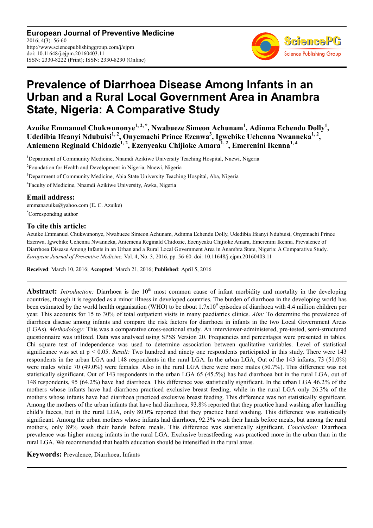**European Journal of Preventive Medicine** 2016; 4(3): 56-60 http://www.sciencepublishinggroup.com/j/ejpm doi: 10.11648/j.ejpm.20160403.11 ISSN: 2330-8222 (Print); ISSN: 2330-8230 (Online)



# **Prevalence of Diarrhoea Disease Among Infants in an Urban and a Rural Local Government Area in Anambra State, Nigeria: A Comparative Study**

Azuike Emmanuel Chukwunonye<sup>1, 2,</sup> \*, Nwabueze Simeon Achunam<sup>1</sup>, Adinma Echendu Dolly<sup>1</sup>, Udedibia Ifeanyi Ndubuisi<sup>1, 2</sup>, Onyemachi Prince Ezenwa<sup>3</sup>, Igwebike Uchenna Nwanneka<sup>1, 2</sup>, **Aniemena Reginald Chidozie1, 2, Ezenyeaku Chijioke Amara1, 2, Emerenini Ikenna1, 4**

<sup>1</sup>Department of Community Medicine, Nnamdi Azikiwe University Teaching Hospital, Nnewi, Nigeria

<sup>2</sup> Foundation for Health and Development in Nigeria, Nnewi, Nigeria

<sup>3</sup>Department of Community Medicine, Abia State University Teaching Hospital, Aba, Nigeria

4 Faculty of Medicine, Nnamdi Azikiwe University, Awka, Nigeria

#### **Email address:**

emmanazuike@yahoo.com (E. C. Azuike) \*Corresponding author

### **To cite this article:**

Azuike Emmanuel Chukwunonye, Nwabueze Simeon Achunam, Adinma Echendu Dolly, Udedibia Ifeanyi Ndubuisi, Onyemachi Prince Ezenwa, Igwebike Uchenna Nwanneka, Aniemena Reginald Chidozie, Ezenyeaku Chijioke Amara, Emerenini Ikenna. Prevalence of Diarrhoea Disease Among Infants in an Urban and a Rural Local Government Area in Anambra State, Nigeria: A Comparative Study. *European Journal of Preventive Medicine.* Vol. 4, No. 3, 2016, pp. 56-60. doi: 10.11648/j.ejpm.20160403.11

**Received**: March 10, 2016; **Accepted**: March 21, 2016; **Published**: April 5, 2016

**Abstract:** *Introduction:* Diarrhoea is the 10<sup>th</sup> most common cause of infant morbidity and mortality in the developing countries, though it is regarded as a minor illness in developed countries. The burden of diarrhoea in the developing world has been estimated by the world health organisation (WHO) to be about  $1.7x10<sup>9</sup>$  episodes of diarrhoea with 4.4 million children per year. This accounts for 15 to 30% of total outpatient visits in many paediatrics clinics. *Aim:* To determine the prevalence of diarrhoea disease among infants and compare the risk factors for diarrhoea in infants in the two Local Government Areas (LGAs). *Methodology:* This was a comparative cross-sectional study. An interviewer-administered, pre-tested, semi-structured questionnaire was utilized. Data was analysed using SPSS Version 20. Frequencies and percentages were presented in tables. Chi square test of independence was used to determine association between qualitative variables. Level of statistical significance was set at p < 0.05. *Result:* Two hundred and ninety one respondents participated in this study. There were 143 respondents in the urban LGA and 148 respondents in the rural LGA. In the urban LGA, Out of the 143 infants, 73 (51.0%) were males while 70 (49.0%) were females. Also in the rural LGA there were more males (50.7%). This difference was not statistically significant. Out of 143 respondents in the urban LGA 65 (45.5%) has had diarrhoea but in the rural LGA, out of 148 respondents, 95 (64.2%) have had diarrhoea. This difference was statistically significant. In the urban LGA 46.2% of the mothers whose infants have had diarrhoea practiced exclusive breast feeding, while in the rural LGA only 26.3% of the mothers whose infants have had diarrhoea practiced exclusive breast feeding. This difference was not statistically significant. Among the mothers of the urban infants that have had diarrhoea, 93.8% reported that they practice hand washing after handling child's faeces, but in the rural LGA, only 80.0% reported that they practice hand washing. This difference was statistically significant. Among the urban mothers whose infants had diarrhoea, 92.3% wash their hands before meals, but among the rural mothers, only 89% wash their hands before meals. This difference was statistically significant. *Conclusion:* Diarrhoea prevalence was higher among infants in the rural LGA. Exclusive breastfeeding was practiced more in the urban than in the rural LGA. We recommended that health education should be intensified in the rural areas.

**Keywords:** Prevalence, Diarrhoea, Infants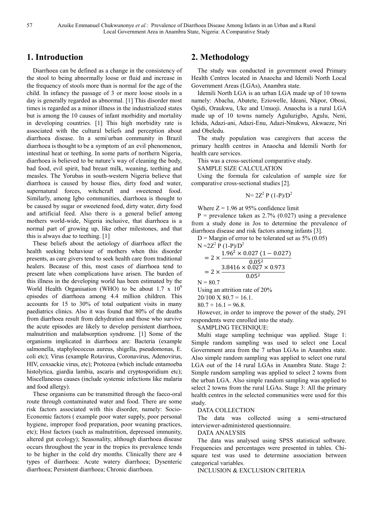## **1. Introduction**

Diarrhoea can be defined as a change in the consistency of the stool to being abnormally loose or fluid and increase in the frequency of stools more than is normal for the age of the child. In infancy the passage of 3 or more loose stools in a day is generally regarded as abnormal. [1] This disorder most times is regarded as a minor illness in the industrialized states but is among the 10 causes of infant morbidity and mortality in developing countries. [1] This high morbidity rate is associated with the cultural beliefs and perception about diarrhoea disease. In a semi-urban community in Brazil diarrhoea is thought to be a symptom of an evil phenomenon, intestinal heat or teething. In some parts of northern Nigeria, diarrhoea is believed to be nature's way of cleaning the body, bad food, evil spirit, bad breast milk, weaning, teething and measles. The Yorubas in south-western Nigeria believe that diarrhoea is caused by house flies, dirty food and water, supernatural forces, witchcraft and sweetened food. Similarly, among Igbo communities, diarrhoea is thought to be caused by sugar or sweetened food, dirty water, dirty food and artificial feed. Also there is a general belief among mothers world-wide, Nigeria inclusive, that diarrhoea is a normal part of growing up, like other milestones, and that this is always due to teething. [1]

These beliefs about the aetiology of diarrhoea affect the health seeking behaviour of mothers when this disorder presents, as care givers tend to seek health care from traditional healers. Because of this, most cases of diarrhoea tend to present late when complications have arisen. The burden of this illness in the developing world has been estimated by the World Health Organisation (WHO) to be about 1.7 x  $10^9$ episodes of diarrhoea among 4.4 million children. This accounts for 15 to 30% of total outpatient visits in many paediatrics clinics. Also it was found that 80% of the deaths from diarrhoea result from dehydration and those who survive the acute episodes are likely to develop persistent diarrhoea, malnutrition and malabsorption syndrome. [1] Some of the organisms implicated in diarrhoea are: Bacteria (example salmonella, staphylococcus aureus, shigella, pseudomonas, E. coli etc); Virus (example Rotavirus, Coronavirus, Adenovirus, HIV, coxsackie virus, etc); Protozoa (which include entamoeba histolytica, giardia lambia, ascaris and cryptosporidium etc); Miscellaneous causes (include systemic infections like malaria and food allergy).

These organisms can be transmitted through the faeco-oral route through contaminated water and food. There are some risk factors associated with this disorder, namely: Socio-Economic factors ( example poor water supply, poor personal hygiene, improper food preparation, poor weaning practices, etc); Host factors (such as malnutrition, depressed immunity, altered gut ecology); Seasonality, although diarrhoea disease occurs throughout the year in the tropics its prevalence tends to be higher in the cold dry months. Clinically there are 4 types of diarrhoea: Acute watery diarrhoea; Dysenteric diarrhoea; Persistent diarrhoea; Chronic diarrhoea.

# **2. Methodology**

The study was conducted in government owed Primary Health Centres located in Anaocha and Idemili North Local Government Areas (LGAs), Anambra state.

Idemili North LGA is an urban LGA made up of 10 towns namely: Abacha, Abatete, Eziowelle, Ideani, Nkpor, Obosi, Ogidi, Oraukwu, Uke and Umuoji. Anaocha is a rural LGA made up of 10 towns namely Aguluzigbo, Agulu, Neni, Ichida, Adazi-ani, Adazi-Enu, Adazi-Nnukwu, Akwaeze, Nri and Obeledu.

The study population was caregivers that access the primary health centres in Anaocha and Idemili North for health care services.

This was a cross-sectional comparative study.

SAMPLE SIZE CALCULATION

Using the formula for calculation of sample size for comparative cross-sectional studies [2].

$$
N=2Z^2 P (1-P)/D^2
$$

Where  $Z = 1.96$  at 95% confidence limit

 $P =$  prevalence taken as 2.7% (0.027) using a prevalence from a study done in Jos to determine the prevalence of diarrhoea disease and risk factors among infants [3].

 $D =$ Margin of error to be tolerated set as 5% (0.05)

$$
I = 2Z2 P (1-P)/D2
$$
  
= 2 × 
$$
\frac{1.962 × 0.027 (1 – 0.027)}{0.052}
$$
  
= 2 × 
$$
\frac{3.8416 × 0.027 × 0.973}{0.052}
$$

 $N = 80.7$ 

 $\mathbb{N}$ 

Using an attrition rate of 20%

 $20/100 \text{ X } 80.7 = 16.1.$ 

$$
80.7 + 16.1 = 96.8.
$$

However, in order to improve the power of the study, 291 respondents were enrolled into the study.

SAMPLING TECHNIQUE:

Multi stage sampling technique was applied. Stage 1: Simple random sampling was used to select one Local Government area from the 7 urban LGAs in Anambra state. Also simple random sampling was applied to select one rural LGA out of the 14 rural LGAs in Anambra State. Stage 2: Simple random sampling was applied to select 2 towns from the urban LGA. Also simple random sampling was applied to select 2 towns from the rural LGAs. Stage 3: All the primary health centres in the selected communities were used for this study.

DATA COLLECTION

The data was collected using a semi-structured interviewer-administered questionnaire.

DATA ANALYSIS

The data was analysed using SPSS statistical software. Frequencies and percentages were presented in tables. Chisquare test was used to determine association between categorical variables.

INCLUSION & EXCLUSION CRITERIA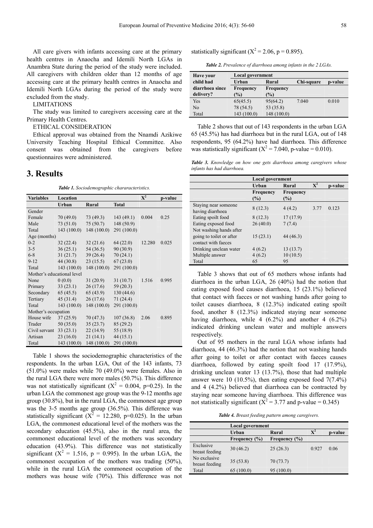All care givers with infants accessing care at the primary health centres in Anaocha and Idemili North LGAs in Anambra State during the period of the study were included. All caregivers with children older than 12 months of age accessing care at the primary health centres in Anaocha and Idemili North LGAs during the period of the study were excluded from the study.

LIMITATIONS

The study was limited to caregivers accessing care at the Primary Health Centres.

ETHICAL CONSIDERATION

Ethical approval was obtained from the Nnamdi Azikiwe University Teaching Hospital Ethical Committee. Also consent was obtained from the caregivers before questionnaires were administered.

#### **3. Results**

*Table 1. Sociodemographic chararacteristics.* 

| <b>Variables</b>           | Location    |                          |              | ${\bf X}^2$ | p-value |
|----------------------------|-------------|--------------------------|--------------|-------------|---------|
|                            | Urban       | Rural                    | <b>Total</b> |             |         |
| Gender                     |             |                          |              |             |         |
| Female                     | 70(49.0)    | 73(49.3)                 | 143(49.1)    | 0.004       | 0.25    |
| Male                       | 73 (51.0)   | 75(50.7)                 | 148(50.9)    |             |         |
| Total                      |             | $143(100.0)$ 148 (100.0) | 291 (100.0)  |             |         |
| Age (months)               |             |                          |              |             |         |
| $0 - 2$                    | 32(22.4)    | 32(21.6)                 | 64(22.0)     | 12.280      | 0.025   |
| $3 - 5$                    | 36(25.1)    | 54 (36.5)                | 90 (30.9)    |             |         |
| $6 - 8$                    | 31(21.7)    | 39(26.4)                 | 70(24.1)     |             |         |
| $9 - 12$                   | 44(30.8)    | 23(15.5)                 | 67(23.0)     |             |         |
| Total                      | 143(100.0)  | 148(100.0)               | 291 (100.0)  |             |         |
| Mother's educational level |             |                          |              |             |         |
| None                       | 0(0.0)      | 31(20.9)                 | 31(10.7)     | 1.516       | 0.995   |
| Primary                    | 33(23.1)    | 26(17.6)                 | 59(20.3)     |             |         |
| Secondary                  | 65(45.5)    | 65(43.9)                 | 130(44.6)    |             |         |
| Tertiary                   | 45(31.4)    | 26(17.6)                 | 71(24.4)     |             |         |
| Total                      | 143(100.0)  | 148(100.0)               | 291 (100.0)  |             |         |
| Mother's occupation        |             |                          |              |             |         |
| House wife                 | 37(25.9)    | 70 (47.3)                | 107(36.8)    | 2.06        | 0.895   |
| Trader                     | 50(35.0)    | 35(23.7)                 | 85(29.2)     |             |         |
| Civil servant              | 33(23.1)    | 22(14.9)                 | 55 (18.9)    |             |         |
| Artisan                    | 23(16.0)    | 21(14.1)                 | 44(15.1)     |             |         |
| Total                      | 143 (100.0) | 148 (100.0)              | 291 (100.0)  |             |         |

Table 1 shows the sociodemographic characteristics of the respondents. In the urban LGA, Out of the 143 infants, 73 (51.0%) were males while 70 (49.0%) were females. Also in the rural LGA there were more males (50.7%). This difference was not statistically significant ( $X^2 = 0.004$ , p=0.25). In the urban LGA the commonest age group was the 9-12 months age group (30.8%), but in the rural LGA, the commonest age group was the 3-5 months age group (36.5%). This difference was statistically significant ( $X^2 = 12.280$ , p=0.025). In the urban LGA, the commonest educational level of the mothers was the secondary education (45.5%), also in the rural area, the commonest educational level of the mothers was secondary education (43.9%). This difference was not statistically significant ( $X^2 = 1.516$ ,  $p = 0.995$ ). In the urban LGA, the commonest occupation of the mothers was trading (50%), while in the rural LGA the commonest occupation of the mothers was house wife (70%). This difference was not

statistically significant ( $X^2 = 2.06$ , p = 0.895).

*Table 2. Prevalence of diarrhoea among infants in the 2 LGAs.* 

| Have your       | Local government |                  |            |         |
|-----------------|------------------|------------------|------------|---------|
| child had       | Urban            | Rural            | Chi-square | p-value |
| diarrhoea since | <b>Frequency</b> | <b>Frequency</b> |            |         |
| delivery?       | $\frac{9}{0}$    | $\frac{9}{0}$    |            |         |
| Yes             | 65(45.5)         | 95(64.2)         | 7.040      | 0.010   |
| No              | 78 (54.5)        | 53 (35.8)        |            |         |
| Total           | 143 (100.0)      | 148 (100.0)      |            |         |

Table 2 shows that out of 143 respondents in the urban LGA 65 (45.5%) has had diarrhoea but in the rural LGA, out of 148 respondents, 95 (64.2%) have had diarrhoea. This difference was statistically significant ( $X^2 = 7.040$ , p-value = 0.010).

*Table 3. Knowledge on how one gets diarrhoea among caregivers whose infants has had diarrhoea.* 

|                                                                            | Local government        |                            |             |         |
|----------------------------------------------------------------------------|-------------------------|----------------------------|-------------|---------|
|                                                                            | Urban                   | Rural                      | ${\bf X}^2$ | p-value |
|                                                                            | <b>Frequency</b><br>(%) | <b>Frequency</b><br>$(\%)$ |             |         |
| Staying near someone<br>having diarrhoea                                   | 8(12.3)                 | 4(4.2)                     | 3.77        | 0.123   |
| Eating spoilt food                                                         | 8(12.3)                 | 17(17.9)                   |             |         |
| Eating exposed food                                                        | 26(40.0)                | 7(7.4)                     |             |         |
| Not washing hands after<br>going to toilet or after<br>contact with faeces | 15(23.1)                | 44 (46.3)                  |             |         |
| Drinking unclean water                                                     | 4(6.2)                  | 13(13.7)                   |             |         |
| Multiple answer                                                            | 4(6.2)                  | 10(10.5)                   |             |         |
| Total                                                                      | 65                      | 95                         |             |         |

Table 3 shows that out of 65 mothers whose infants had diarrhoea in the urban LGA, 26 (40%) had the notion that eating exposed food causes diarrhoea, 15 (23.1%) believed that contact with faeces or not washing hands after going to toilet causes diarrhoea, 8 (12.3%) indicated eating spoilt food, another 8 (12.3%) indicated staying near someone having diarrhoea, while  $4(6.2\%)$  and another  $4(6.2\%)$ indicated drinking unclean water and multiple answers respectively.

Out of 95 mothers in the rural LGA whose infants had diarrhoea, 44 (46.3%) had the notion that not washing hands after going to toilet or after contact with faeces causes diarrhoea, followed by eating spoilt food 17 (17.9%), drinking unclean water 13 (13.7%), those that had multiple answer were 10  $(10.5\%)$ , then eating exposed food  $7(7.4\%)$ and 4 (4.2%) believed that diarrhoea can be contracted by staying near someone having diarrhoea. This difference was not statistically significant ( $X^2 = 3.77$  and p-value = 0.345)

*Table 4. Breast feeding pattern among caregivers.* 

|                                | Local government  |                   |                |         |
|--------------------------------|-------------------|-------------------|----------------|---------|
|                                | Urban             | Rural             | $\mathbf{X}^2$ | p-value |
|                                | Frequency $(\% )$ | Frequency $(\% )$ |                |         |
| Exclusive<br>breast feeding    | 30(46.2)          | 25(26.3)          | 0.927          | 0.06    |
| No exclusive<br>breast feeding | 35(53.8)          | 70(73.7)          |                |         |
| Total                          | 65(100.0)         | 95 (100.0)        |                |         |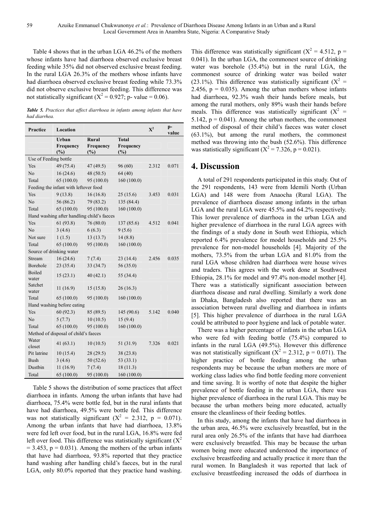Table 4 shows that in the urban LGA 46.2% of the mothers whose infants have had diarrhoea observed exclusive breast feeding while 35% did not observed exclusive breast feeding. In the rural LGA 26.3% of the mothers whose infants have had diarrhoea observed exclusive breast feeding while 73.3% did not observe exclusive breast feeding. This difference was not statistically significant ( $X^2 = 0.927$ ; p- value = 0.06).

*Table 5. Practices that affect diarrhoea in infants among infants that have had diarrhea.* 

| Practice                             | Location                                   |                                  |                                  | $\mathbf{X}^2$ | p-<br>value |  |
|--------------------------------------|--------------------------------------------|----------------------------------|----------------------------------|----------------|-------------|--|
|                                      | Urban<br><b>Frequency</b><br>(%)           | <b>Rural</b><br>Frequency<br>(%) | <b>Total</b><br>Frequency<br>(%) |                |             |  |
| Use of Feeding bottle                |                                            |                                  |                                  |                |             |  |
| Yes                                  | 49 (75.4)                                  | 47 (49.5)                        | 96(60)                           | 2.312          | 0.071       |  |
| No                                   | 16(24.6)                                   | 48(50.5)                         | 64(40)                           |                |             |  |
| Total                                | 65(100.0)                                  | 95 (100.0)                       | 160(100.0)                       |                |             |  |
|                                      | Feeding the infant with leftover food      |                                  |                                  |                |             |  |
| Yes                                  | 9(13.8)                                    | 16(16.8)                         | 25(15.6)                         | 3.453          | 0.031       |  |
| N <sub>o</sub>                       | 56 (86.2)                                  | 79 (83.2)                        | 135 (84.4)                       |                |             |  |
| Total                                | 65 (100.0)                                 | 95 (100.0)                       | 160(100.0)                       |                |             |  |
|                                      | Hand washing after handling child's faeces |                                  |                                  |                |             |  |
| Yes                                  | 61(93.8)                                   | 76 (80.0)                        | 137 (85.6)                       | 4.512          | 0.041       |  |
| N <sub>o</sub>                       | 3(4.6)                                     | 6(6.3)                           | 9(5.6)                           |                |             |  |
| Not sure                             | 1(1.5)                                     | 13(13.7)                         | 14(8.8)                          |                |             |  |
| Total                                | 65 (100.0)                                 | 95 (100.0)                       | 160 (100.0)                      |                |             |  |
|                                      | Source of drinking water                   |                                  |                                  |                |             |  |
| Stream                               | 16(24.6)                                   | 7(7.4)                           | 23(14.4)                         | 2.456          | 0.035       |  |
| Borehole                             | 23(35.4)                                   | 33 (34.7)                        | 56 (35.0)                        |                |             |  |
| <b>Boiled</b><br>water               | 15(23.1)                                   | 40(42.1)                         | 55 (34.4)                        |                |             |  |
| Satchet<br>water                     | 11(16.9)                                   | 15(15.8)                         | 26(16.3)                         |                |             |  |
| Total                                | 65(100.0)                                  | 95 (100.0)                       | 160(100.0)                       |                |             |  |
| Hand washing before eating           |                                            |                                  |                                  |                |             |  |
| Yes                                  | 60(92.3)                                   | 85 (89.5)                        | 145 (90.6)                       | 5.142          | 0.040       |  |
| N <sub>o</sub>                       | 5(7.7)                                     | 10(10.5)                         | 15(9.4)                          |                |             |  |
| Total                                | 65(100.0)                                  | 95 (100.0)                       | 160(100.0)                       |                |             |  |
| Method of disposal of child's faeces |                                            |                                  |                                  |                |             |  |
| Water<br>closet                      | 41 $(63.1)$                                | 10(10.5)                         | 51 (31.9)                        | 7.326          | 0.021       |  |
| Pit latrine                          | 10(15.4)                                   | 28(29.5)                         | 38 (23.8)                        |                |             |  |
| Bush                                 | 3(4.6)                                     | 50 (52.6)                        | 53 (33.1)                        |                |             |  |
| Dustbin                              | 11(16.9)                                   | 7(7.4)                           | 18(11.3)                         |                |             |  |
| Total                                | 65(100.0)                                  | 95 (100.0)                       | 160(100.0)                       |                |             |  |

Table 5 shows the distribution of some practices that affect diarrhoea in infants. Among the urban infants that have had diarrhoea, 75.4% were bottle fed, but in the rural infants that have had diarrhoea, 49.5% were bottle fed. This difference was not statistically significant  $(X^2 = 2.312, p = 0.071)$ . Among the urban infants that have had diarrhoea, 13.8% were fed left over food, but in the rural LGA, 16.8% were fed left over food. This difference was statistically significant  $(X^2)$  $= 3.453$ ,  $p = 0.031$ ). Among the mothers of the urban infants that have had diarrhoea, 93.8% reported that they practice hand washing after handling child's faeces, but in the rural LGA, only 80.0% reported that they practice hand washing.

This difference was statistically significant ( $X^2 = 4.512$ , p = 0.041). In the urban LGA, the commonest source of drinking water was borehole (35.4%) but in the rural LGA, the commonest source of drinking water was boiled water (23.1%). This difference was statistically significant ( $X^2 =$ 2.456,  $p = 0.035$ ). Among the urban mothers whose infants had diarrhoea, 92.3% wash their hands before meals, but among the rural mothers, only 89% wash their hands before meals. This difference was statistically significant  $(X^2 =$ 5.142,  $p = 0.041$ ). Among the urban mothers, the commonest method of disposal of their child's faeces was water closet (63.1%), but among the rural mothers, the commonest method was throwing into the bush (52.6%). This difference was statistically significant ( $X^2 = 7.326$ , p = 0.021).

## **4. Discussion**

A total of 291 respondents participated in this study. Out of the 291 respondents, 143 were from Idemili North (Urban LGA) and 148 were from Anaocha (Rural LGA). The prevalence of diarrhoea disease among infants in the urban LGA and the rural LGA were 45.5% and 64.2% respectively. This lower prevalence of diarrhoea in the urban LGA and higher prevalence of diarrhoea in the rural LGA agrees with the findings of a study done in South west Ethiopia, which reported 6.4% prevalence for model households and 25.5% prevalence for non-model households [4]. Majority of the mothers, 73.5% from the urban LGA and 81.0% from the rural LGA whose children had diarrhoea were house wives and traders. This agrees with the work done at Southwest Ethiopia, 28.1% for model and 97.4% non-model mother [4]. There was a statistically significant association between diarrhoea disease and rural dwelling. Similarly a work done in Dhaka, Bangladesh also reported that there was an association between rural dwelling and diarrhoea in infants [5]. This higher prevalence of diarrhoea in the rural LGA could be attributed to poor hygiene and lack of potable water.

There was a higher percentage of infants in the urban LGA who were fed with feeding bottle (75.4%) compared to infants in the rural LGA (49.5%). However this difference was not statistically significant ( $X^2 = 2.312$ , p = 0.071). The higher practice of bottle feeding among the urban respondents may be because the urban mothers are more of working class ladies who find bottle feeding more convenient and time saving. It is worthy of note that despite the higher prevalence of bottle feeding in the urban LGA, there was higher prevalence of diarrhoea in the rural LGA. This may be because the urban mothers being more educated, actually ensure the cleanliness of their feeding bottles.

In this study, among the infants that have had diarrhoea in the urban area, 46.5% were exclusively breastfed, but in the rural area only 26.5% of the infants that have had diarrhoea were exclusively breastfed. This may be because the urban women being more educated understood the importance of exclusive breastfeeding and actually practice it more than the rural women. In Bangladesh it was reported that lack of exclusive breastfeeding increased the odds of diarrhoea in